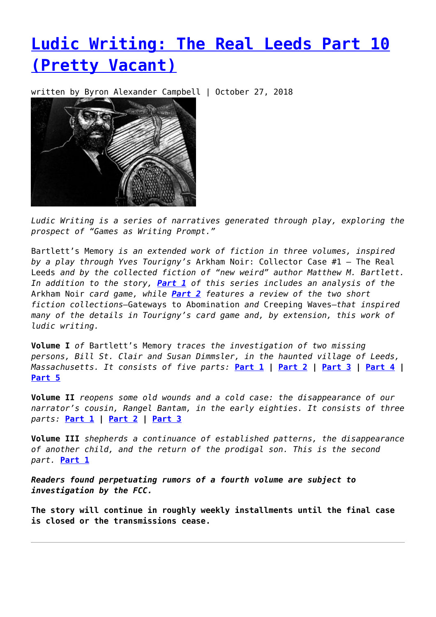# **[Ludic Writing: The Real Leeds Part 10](https://entropymag.org/ludic-writing-the-real-leeds-part-10-pretty-vacant/) [\(Pretty Vacant\)](https://entropymag.org/ludic-writing-the-real-leeds-part-10-pretty-vacant/)**

written by Byron Alexander Campbell | October 27, 2018



*Ludic Writing is a series of narratives generated through play, exploring the prospect of "Games as Writing Prompt."*

Bartlett's Memory *is an extended work of fiction in three volumes, inspired by a play through Yves Tourigny's* Arkham Noir: Collector Case #1 – The Real Leeds *and by the collected fiction of "new weird" author Matthew M. Bartlett. In addition to the story, [Part 1](https://entropymag.org/session-report-arkham-noir-part-1-the-real-leeds/) of this series includes an analysis of the* Arkham Noir *card game, while [Part 2](https://entropymag.org/ludic-writing-the-real-leeds-part-2-matthew-m-bartlett/) features a review of the two short fiction collections—*Gateways to Abomination *and* Creeping Waves—*that inspired many of the details in Tourigny's card game and, by extension, this work of ludic writing.*

**Volume I** *of* Bartlett's Memory *traces the investigation of two missing persons, Bill St. Clair and Susan Dimmsler, in the haunted village of Leeds, Massachusetts. It consists of five parts:* **[Part 1](https://entropymag.org/session-report-arkham-noir-part-1-the-real-leeds/) | [Part 2](https://entropymag.org/ludic-writing-the-real-leeds-part-2-matthew-m-bartlett/) | [Part 3](https://entropymag.org/ludic-writing-the-real-leeds-part-3-music-after-midnight/) | [Part 4](http://entropymag.org/ludic-writing-the-real-leeds-part-4-the-devils-hour) | [Part 5](https://entropymag.org/ludic-writing-the-real-leeds-part-5-tape-sync/)**

**Volume II** *reopens some old wounds and a cold case: the disappearance of our narrator's cousin, Rangel Bantam, in the early eighties. It consists of three parts:* **[Part 1](https://entropymag.org/ludic-writing-the-real-leeds-part-6-throwback-thursday/) | [Part 2](https://entropymag.org/ludic-writing-the-real-leeds-part-7-good-vibrations) | [Part 3](http://entropymag.org/ludic-writing-the-real-leeds-part-8-country-roads)**

**Volume III** *shepherds a continuance of established patterns, the disappearance of another child, and the return of the prodigal son. This is the second part.* **[Part 1](http://entropymag.org/ludic-writing-the-real-leeds-part-9-savoy-truffle)**

*Readers found perpetuating rumors of a fourth volume are subject to investigation by the FCC.*

**The story will continue in roughly weekly installments until the final case is closed or the transmissions cease.**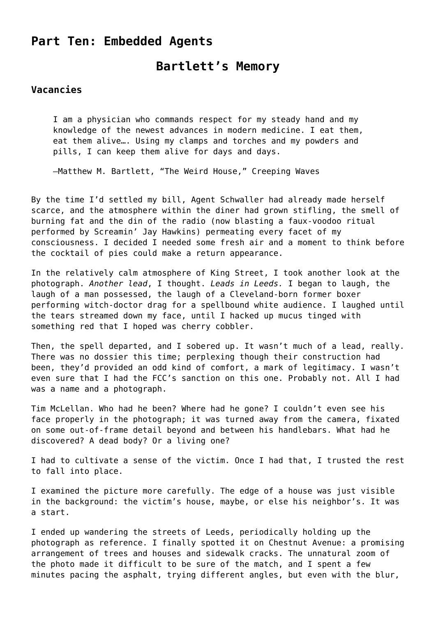# **Part Ten: Embedded Agents**

## **Bartlett's Memory**

### **Vacancies**

I am a physician who commands respect for my steady hand and my knowledge of the newest advances in modern medicine. I eat them, eat them alive…. Using my clamps and torches and my powders and pills, I can keep them alive for days and days.

—Matthew M. Bartlett, "The Weird House," Creeping Waves

By the time I'd settled my bill, Agent Schwaller had already made herself scarce, and the atmosphere within the diner had grown stifling, the smell of burning fat and the din of the radio (now blasting a faux-voodoo ritual performed by Screamin' Jay Hawkins) permeating every facet of my consciousness. I decided I needed some fresh air and a moment to think before the cocktail of pies could make a return appearance.

In the relatively calm atmosphere of King Street, I took another look at the photograph. *Another lead*, I thought. *Leads in Leeds.* I began to laugh, the laugh of a man possessed, the laugh of a Cleveland-born former boxer performing witch-doctor drag for a spellbound white audience. I laughed until the tears streamed down my face, until I hacked up mucus tinged with something red that I hoped was cherry cobbler.

Then, the spell departed, and I sobered up. It wasn't much of a lead, really. There was no dossier this time; perplexing though their construction had been, they'd provided an odd kind of comfort, a mark of legitimacy. I wasn't even sure that I had the FCC's sanction on this one. Probably not. All I had was a name and a photograph.

Tim McLellan. Who had he been? Where had he gone? I couldn't even see his face properly in the photograph; it was turned away from the camera, fixated on some out-of-frame detail beyond and between his handlebars. What had he discovered? A dead body? Or a living one?

I had to cultivate a sense of the victim. Once I had that, I trusted the rest to fall into place.

I examined the picture more carefully. The edge of a house was just visible in the background: the victim's house, maybe, or else his neighbor's. It was a start.

I ended up wandering the streets of Leeds, periodically holding up the photograph as reference. I finally spotted it on Chestnut Avenue: a promising arrangement of trees and houses and sidewalk cracks. The unnatural zoom of the photo made it difficult to be sure of the match, and I spent a few minutes pacing the asphalt, trying different angles, but even with the blur,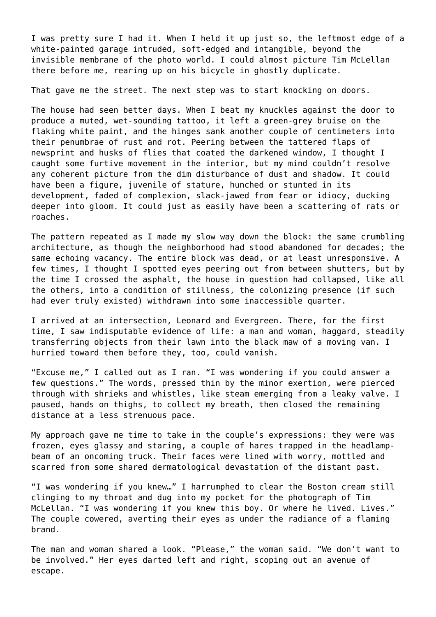I was pretty sure I had it. When I held it up just so, the leftmost edge of a white-painted garage intruded, soft-edged and intangible, beyond the invisible membrane of the photo world. I could almost picture Tim McLellan there before me, rearing up on his bicycle in ghostly duplicate.

That gave me the street. The next step was to start knocking on doors.

The house had seen better days. When I beat my knuckles against the door to produce a muted, wet-sounding tattoo, it left a green-grey bruise on the flaking white paint, and the hinges sank another couple of centimeters into their penumbrae of rust and rot. Peering between the tattered flaps of newsprint and husks of flies that coated the darkened window, I thought I caught some furtive movement in the interior, but my mind couldn't resolve any coherent picture from the dim disturbance of dust and shadow. It could have been a figure, juvenile of stature, hunched or stunted in its development, faded of complexion, slack-jawed from fear or idiocy, ducking deeper into gloom. It could just as easily have been a scattering of rats or roaches.

The pattern repeated as I made my slow way down the block: the same crumbling architecture, as though the neighborhood had stood abandoned for decades; the same echoing vacancy. The entire block was dead, or at least unresponsive. A few times, I thought I spotted eyes peering out from between shutters, but by the time I crossed the asphalt, the house in question had collapsed, like all the others, into a condition of stillness, the colonizing presence (if such had ever truly existed) withdrawn into some inaccessible quarter.

I arrived at an intersection, Leonard and Evergreen. There, for the first time, I saw indisputable evidence of life: a man and woman, haggard, steadily transferring objects from their lawn into the black maw of a moving van. I hurried toward them before they, too, could vanish.

"Excuse me," I called out as I ran. "I was wondering if you could answer a few questions." The words, pressed thin by the minor exertion, were pierced through with shrieks and whistles, like steam emerging from a leaky valve. I paused, hands on thighs, to collect my breath, then closed the remaining distance at a less strenuous pace.

My approach gave me time to take in the couple's expressions: they were was frozen, eyes glassy and staring, a couple of hares trapped in the headlampbeam of an oncoming truck. Their faces were lined with worry, mottled and scarred from some shared dermatological devastation of the distant past.

"I was wondering if you knew…" I harrumphed to clear the Boston cream still clinging to my throat and dug into my pocket for the photograph of Tim McLellan. "I was wondering if you knew this boy. Or where he lived. Lives." The couple cowered, averting their eyes as under the radiance of a flaming brand.

The man and woman shared a look. "Please," the woman said. "We don't want to be involved." Her eyes darted left and right, scoping out an avenue of escape.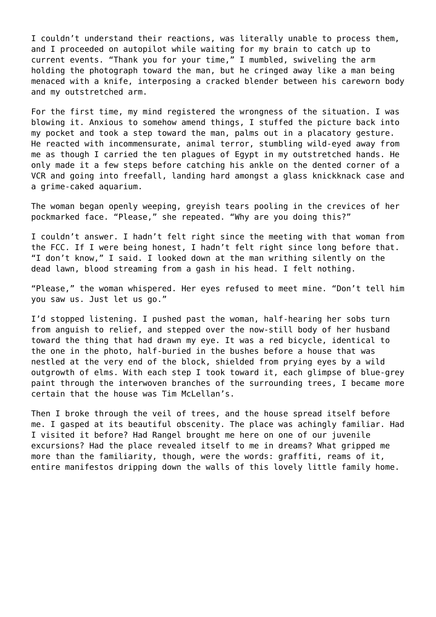I couldn't understand their reactions, was literally unable to process them, and I proceeded on autopilot while waiting for my brain to catch up to current events. "Thank you for your time," I mumbled, swiveling the arm holding the photograph toward the man, but he cringed away like a man being menaced with a knife, interposing a cracked blender between his careworn body and my outstretched arm.

For the first time, my mind registered the wrongness of the situation. I was blowing it. Anxious to somehow amend things, I stuffed the picture back into my pocket and took a step toward the man, palms out in a placatory gesture. He reacted with incommensurate, animal terror, stumbling wild-eyed away from me as though I carried the ten plagues of Egypt in my outstretched hands. He only made it a few steps before catching his ankle on the dented corner of a VCR and going into freefall, landing hard amongst a glass knickknack case and a grime-caked aquarium.

The woman began openly weeping, greyish tears pooling in the crevices of her pockmarked face. "Please," she repeated. "Why are you doing this?"

I couldn't answer. I hadn't felt right since the meeting with that woman from the FCC. If I were being honest, I hadn't felt right since long before that. "I don't know," I said. I looked down at the man writhing silently on the dead lawn, blood streaming from a gash in his head. I felt nothing.

"Please," the woman whispered. Her eyes refused to meet mine. "Don't tell him you saw us. Just let us go."

I'd stopped listening. I pushed past the woman, half-hearing her sobs turn from anguish to relief, and stepped over the now-still body of her husband toward the thing that had drawn my eye. It was a red bicycle, identical to the one in the photo, half-buried in the bushes before a house that was nestled at the very end of the block, shielded from prying eyes by a wild outgrowth of elms. With each step I took toward it, each glimpse of blue-grey paint through the interwoven branches of the surrounding trees, I became more certain that the house was Tim McLellan's.

Then I broke through the veil of trees, and the house spread itself before me. I gasped at its beautiful obscenity. The place was achingly familiar. Had I visited it before? Had Rangel brought me here on one of our juvenile excursions? Had the place revealed itself to me in dreams? What gripped me more than the familiarity, though, were the words: graffiti, reams of it, entire manifestos dripping down the walls of this lovely little family home.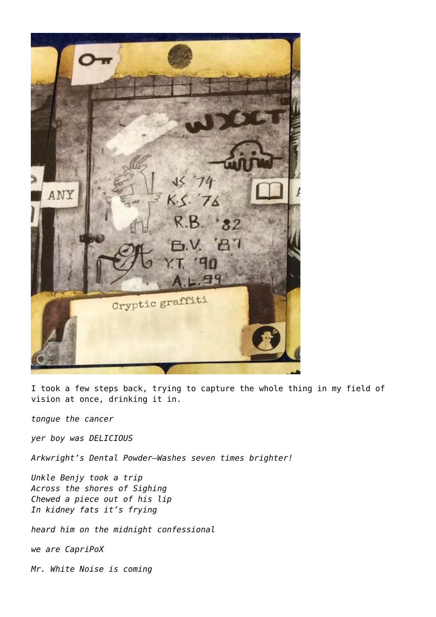

I took a few steps back, trying to capture the whole thing in my field of vision at once, drinking it in.

*tongue the cancer*

*yer boy was DELICIOUS*

*Arkwright's Dental Powder—Washes seven times brighter!*

*Unkle Benjy took a trip Across the shores of Sighing Chewed a piece out of his lip In kidney fats it's frying*

*heard him on the midnight confessional*

*we are CapriPoX*

*Mr. White Noise is coming*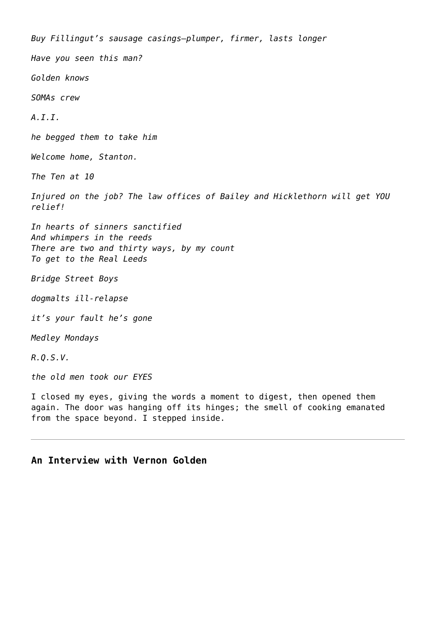*Buy Fillingut's sausage casings—plumper, firmer, lasts longer Have you seen this man? Golden knows SOMAs crew A.I.I. he begged them to take him Welcome home, Stanton. The Ten at 10 Injured on the job? The law offices of Bailey and Hicklethorn will get YOU relief! In hearts of sinners sanctified And whimpers in the reeds There are two and thirty ways, by my count To get to the Real Leeds Bridge Street Boys dogmalts ill-relapse it's your fault he's gone Medley Mondays R.Q.S.V. the old men took our EYES* I closed my eyes, giving the words a moment to digest, then opened them again. The door was hanging off its hinges; the smell of cooking emanated

### **An Interview with Vernon Golden**

from the space beyond. I stepped inside.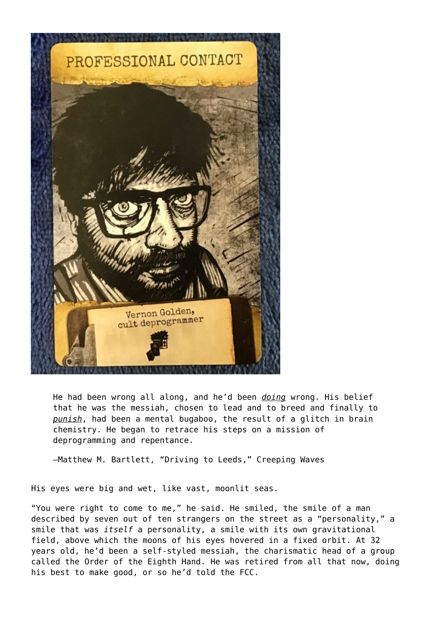

He had been wrong all along, and he'd been *doing* wrong. His belief that he was the messiah, chosen to lead and to breed and finally to *punish*, had been a mental bugaboo, the result of a glitch in brain chemistry. He began to retrace his steps on a mission of deprogramming and repentance.

—Matthew M. Bartlett, "Driving to Leeds," Creeping Waves

His eyes were big and wet, like vast, moonlit seas.

"You were right to come to me," he said. He smiled, the smile of a man described by seven out of ten strangers on the street as a "personality," a smile that was *itself* a personality, a smile with its own gravitational field, above which the moons of his eyes hovered in a fixed orbit. At 32 years old, he'd been a self-styled messiah, the charismatic head of a group called the Order of the Eighth Hand. He was retired from all that now, doing his best to make good, or so he'd told the FCC.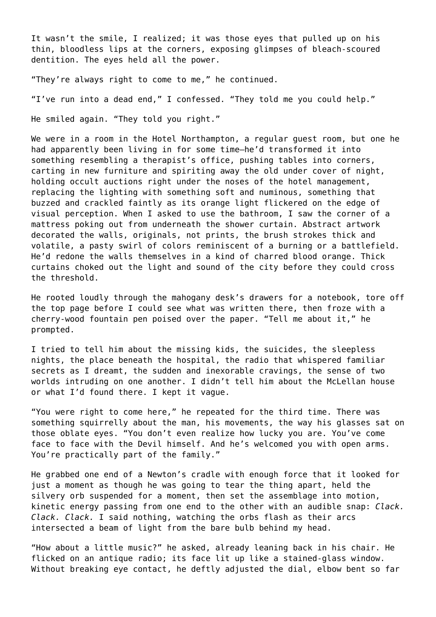It wasn't the smile, I realized; it was those eyes that pulled up on his thin, bloodless lips at the corners, exposing glimpses of bleach-scoured dentition. The eyes held all the power.

"They're always right to come to me," he continued.

"I've run into a dead end," I confessed. "They told me you could help."

He smiled again. "They told you right."

We were in a room in the Hotel Northampton, a regular guest room, but one he had apparently been living in for some time—he'd transformed it into something resembling a therapist's office, pushing tables into corners, carting in new furniture and spiriting away the old under cover of night, holding occult auctions right under the noses of the hotel management, replacing the lighting with something soft and numinous, something that buzzed and crackled faintly as its orange light flickered on the edge of visual perception. When I asked to use the bathroom, I saw the corner of a mattress poking out from underneath the shower curtain. Abstract artwork decorated the walls, originals, not prints, the brush strokes thick and volatile, a pasty swirl of colors reminiscent of a burning or a battlefield. He'd redone the walls themselves in a kind of charred blood orange. Thick curtains choked out the light and sound of the city before they could cross the threshold.

He rooted loudly through the mahogany desk's drawers for a notebook, tore off the top page before I could see what was written there, then froze with a cherry-wood fountain pen poised over the paper. "Tell me about it," he prompted.

I tried to tell him about the missing kids, the suicides, the sleepless nights, the place beneath the hospital, the radio that whispered familiar secrets as I dreamt, the sudden and inexorable cravings, the sense of two worlds intruding on one another. I didn't tell him about the McLellan house or what I'd found there. I kept it vague.

"You were right to come here," he repeated for the third time. There was something squirrelly about the man, his movements, the way his glasses sat on those oblate eyes. "You don't even realize how lucky you are. You've come face to face with the Devil himself. And he's welcomed you with open arms. You're practically part of the family."

He grabbed one end of a Newton's cradle with enough force that it looked for just a moment as though he was going to tear the thing apart, held the silvery orb suspended for a moment, then set the assemblage into motion, kinetic energy passing from one end to the other with an audible snap: *Clack. Clack. Clack.* I said nothing, watching the orbs flash as their arcs intersected a beam of light from the bare bulb behind my head.

"How about a little music?" he asked, already leaning back in his chair. He flicked on an antique radio; its face lit up like a stained-glass window. Without breaking eye contact, he deftly adjusted the dial, elbow bent so far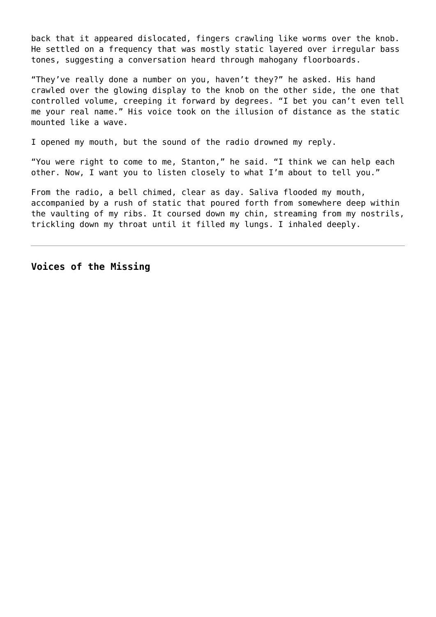back that it appeared dislocated, fingers crawling like worms over the knob. He settled on a frequency that was mostly static layered over irregular bass tones, suggesting a conversation heard through mahogany floorboards.

"They've really done a number on you, haven't they?" he asked. His hand crawled over the glowing display to the knob on the other side, the one that controlled volume, creeping it forward by degrees. "I bet you can't even tell me your real name." His voice took on the illusion of distance as the static mounted like a wave.

I opened my mouth, but the sound of the radio drowned my reply.

"You were right to come to me, Stanton," he said. "I think we can help each other. Now, I want you to listen closely to what I'm about to tell you."

From the radio, a bell chimed, clear as day. Saliva flooded my mouth, accompanied by a rush of static that poured forth from somewhere deep within the vaulting of my ribs. It coursed down my chin, streaming from my nostrils, trickling down my throat until it filled my lungs. I inhaled deeply.

**Voices of the Missing**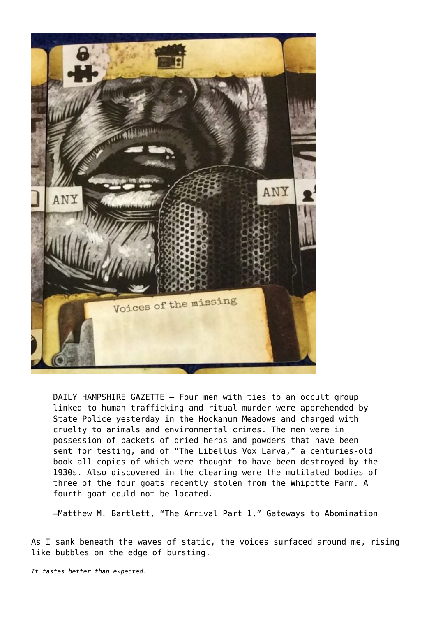

DAILY HAMPSHIRE GAZETTE – Four men with ties to an occult group linked to human trafficking and ritual murder were apprehended by State Police yesterday in the Hockanum Meadows and charged with cruelty to animals and environmental crimes. The men were in possession of packets of dried herbs and powders that have been sent for testing, and of "The Libellus Vox Larva," a centuries-old book all copies of which were thought to have been destroyed by the 1930s. Also discovered in the clearing were the mutilated bodies of three of the four goats recently stolen from the Whipotte Farm. A fourth goat could not be located.

—Matthew M. Bartlett, "The Arrival Part 1," Gateways to Abomination

As I sank beneath the waves of static, the voices surfaced around me, rising like bubbles on the edge of bursting.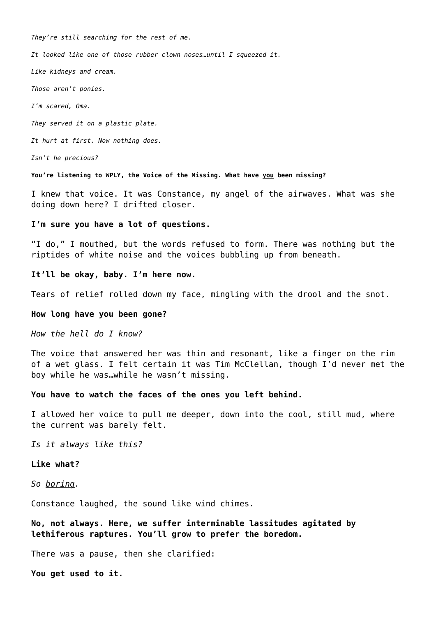*They're still searching for the rest of me.*

*It looked like one of those rubber clown noses…until I squeezed it.*

*Like kidneys and cream.*

*Those aren't ponies.*

*I'm scared, Oma.*

*They served it on a plastic plate.*

*It hurt at first. Now nothing does.*

*Isn't he precious?*

**You're listening to WPLY, the Voice of the Missing. What have you been missing?**

I knew that voice. It was Constance, my angel of the airwaves. What was she doing down here? I drifted closer.

#### **I'm sure you have a lot of questions.**

"I do," I mouthed, but the words refused to form. There was nothing but the riptides of white noise and the voices bubbling up from beneath.

#### **It'll be okay, baby. I'm here now.**

Tears of relief rolled down my face, mingling with the drool and the snot.

#### **How long have you been gone?**

*How the hell do I know?*

The voice that answered her was thin and resonant, like a finger on the rim of a wet glass. I felt certain it was Tim McClellan, though I'd never met the boy while he was…while he wasn't missing.

#### **You have to watch the faces of the ones you left behind.**

I allowed her voice to pull me deeper, down into the cool, still mud, where the current was barely felt.

*Is it always like this?*

#### **Like what?**

*So boring.*

Constance laughed, the sound like wind chimes.

**No, not always. Here, we suffer interminable lassitudes agitated by lethiferous raptures. You'll grow to prefer the boredom.**

There was a pause, then she clarified:

**You get used to it.**